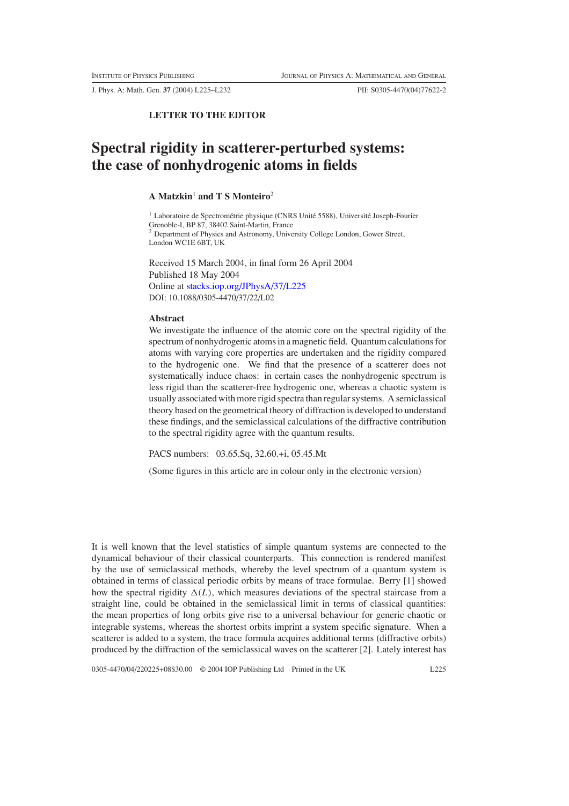J. Phys. A: Math. Gen. **37** (2004) L225–L232 PII: S0305-4470(04)77622-2

## **LETTER TO THE EDITOR**

# **Spectral rigidity in scatterer-perturbed systems: the case of nonhydrogenic atoms in fields**

### **A Matzkin**<sup>1</sup> **and T S Monteiro**<sup>2</sup>

 $1$  Laboratoire de Spectrométrie physique (CNRS Unité 5588), Université Joseph-Fourier Grenoble-I, BP 87, 38402 Saint-Martin, France <sup>2</sup> Department of Physics and Astronomy, University College London, Gower Street, London WC1E 6BT, UK

Received 15 March 2004, in final form 26 April 2004 Published 18 May 2004 Online at [stacks.iop.org/JPhysA/37/L225](http://stacks.iop.org/ja/37/L225) DOI: 10.1088/0305-4470/37/22/L02

#### **Abstract**

We investigate the influence of the atomic core on the spectral rigidity of the spectrum of nonhydrogenic atoms in a magnetic field. Quantum calculations for atoms with varying core properties are undertaken and the rigidity compared to the hydrogenic one. We find that the presence of a scatterer does not systematically induce chaos: in certain cases the nonhydrogenic spectrum is less rigid than the scatterer-free hydrogenic one, whereas a chaotic system is usually associated with more rigid spectra than regular systems. A semiclassical theory based on the geometrical theory of diffraction is developed to understand these findings, and the semiclassical calculations of the diffractive contribution to the spectral rigidity agree with the quantum results.

PACS numbers: 03.65.Sq, 32.60.+i, 05.45.Mt

(Some figures in this article are in colour only in the electronic version)

It is well known that the level statistics of simple quantum systems are connected to the dynamical behaviour of their classical counterparts. This connection is rendered manifest by the use of semiclassical methods, whereby the level spectrum of a quantum system is obtained in terms of classical periodic orbits by means of trace formulae. Berry [1] showed how the spectral rigidity  $\Delta(L)$ , which measures deviations of the spectral staircase from a straight line, could be obtained in the semiclassical limit in terms of classical quantities: the mean properties of long orbits give rise to a universal behaviour for generic chaotic or integrable systems, whereas the shortest orbits imprint a system specific signature. When a scatterer is added to a system, the trace formula acquires additional terms (diffractive orbits) produced by the diffraction of the semiclassical waves on the scatterer [2]. Lately interest has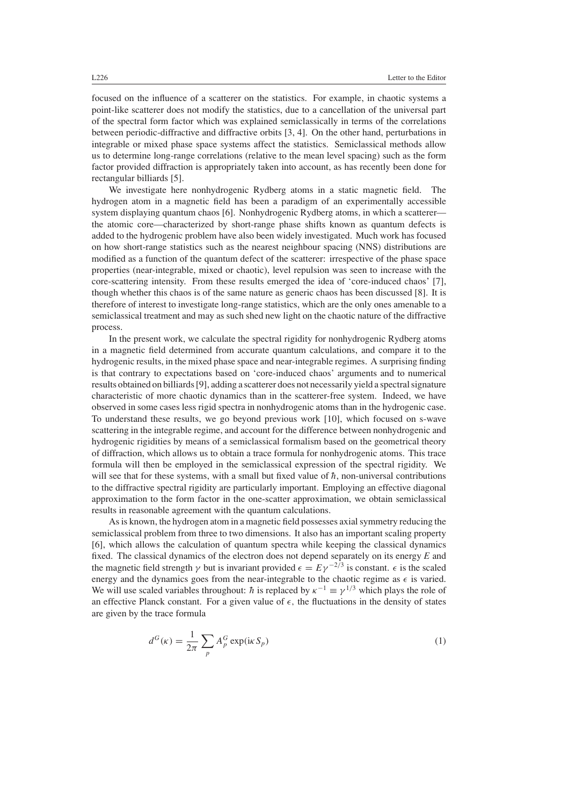focused on the influence of a scatterer on the statistics. For example, in chaotic systems a point-like scatterer does not modify the statistics, due to a cancellation of the universal part of the spectral form factor which was explained semiclassically in terms of the correlations between periodic-diffractive and diffractive orbits [3, 4]. On the other hand, perturbations in integrable or mixed phase space systems affect the statistics. Semiclassical methods allow us to determine long-range correlations (relative to the mean level spacing) such as the form factor provided diffraction is appropriately taken into account, as has recently been done for rectangular billiards [5].

We investigate here nonhydrogenic Rydberg atoms in a static magnetic field. The hydrogen atom in a magnetic field has been a paradigm of an experimentally accessible system displaying quantum chaos [6]. Nonhydrogenic Rydberg atoms, in which a scatterer the atomic core—characterized by short-range phase shifts known as quantum defects is added to the hydrogenic problem have also been widely investigated. Much work has focused on how short-range statistics such as the nearest neighbour spacing (NNS) distributions are modified as a function of the quantum defect of the scatterer: irrespective of the phase space properties (near-integrable, mixed or chaotic), level repulsion was seen to increase with the core-scattering intensity. From these results emerged the idea of 'core-induced chaos' [7], though whether this chaos is of the same nature as generic chaos has been discussed [8]. It is therefore of interest to investigate long-range statistics, which are the only ones amenable to a semiclassical treatment and may as such shed new light on the chaotic nature of the diffractive process.

In the present work, we calculate the spectral rigidity for nonhydrogenic Rydberg atoms in a magnetic field determined from accurate quantum calculations, and compare it to the hydrogenic results, in the mixed phase space and near-integrable regimes. A surprising finding is that contrary to expectations based on 'core-induced chaos' arguments and to numerical results obtained on billiards [9], adding a scatterer does not necessarily yield a spectral signature characteristic of more chaotic dynamics than in the scatterer-free system. Indeed, we have observed in some cases less rigid spectra in nonhydrogenic atoms than in the hydrogenic case. To understand these results, we go beyond previous work [10], which focused on s-wave scattering in the integrable regime, and account for the difference between nonhydrogenic and hydrogenic rigidities by means of a semiclassical formalism based on the geometrical theory of diffraction, which allows us to obtain a trace formula for nonhydrogenic atoms. This trace formula will then be employed in the semiclassical expression of the spectral rigidity. We will see that for these systems, with a small but fixed value of  $\hbar$ , non-universal contributions to the diffractive spectral rigidity are particularly important. Employing an effective diagonal approximation to the form factor in the one-scatter approximation, we obtain semiclassical results in reasonable agreement with the quantum calculations.

As is known, the hydrogen atom in a magnetic field possesses axial symmetry reducing the semiclassical problem from three to two dimensions. It also has an important scaling property [6], which allows the calculation of quantum spectra while keeping the classical dynamics fixed. The classical dynamics of the electron does not depend separately on its energy *E* and the magnetic field strength  $\gamma$  but is invariant provided  $\epsilon = E\gamma^{-2/3}$  is constant.  $\epsilon$  is the scaled energy and the dynamics goes from the near-integrable to the chaotic regime as  $\epsilon$  is varied. We will use scaled variables throughout:  $\hbar$  is replaced by  $\kappa^{-1} \equiv \gamma^{1/3}$  which plays the role of an effective Planck constant. For a given value of  $\epsilon$ , the fluctuations in the density of states are given by the trace formula

<span id="page-1-0"></span>
$$
d^{G}(\kappa) = \frac{1}{2\pi} \sum_{p} A_{p}^{G} \exp(i\kappa S_{p})
$$
\n(1)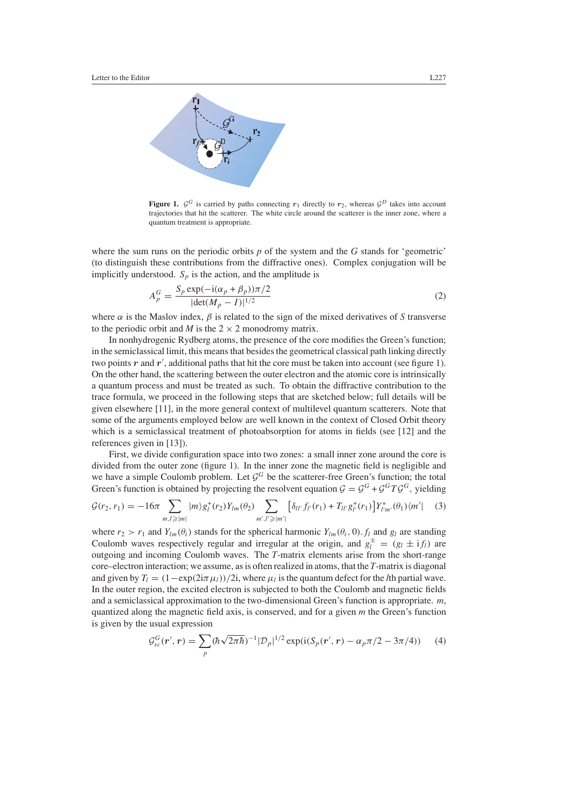

**Figure 1.**  $\mathcal{G}^G$  is carried by paths connecting  $r_1$  directly to  $r_2$ , whereas  $\mathcal{G}^D$  takes into account trajectories that hit the scatterer. The white circle around the scatterer is the inner zone, where a quantum treatment is appropriate.

<span id="page-2-1"></span>where the sum runs on the periodic orbits *p* of the system and the *G* stands for 'geometric' (to distinguish these contributions from the diffractive ones). Complex conjugation will be implicitly understood.  $S_p$  is the action, and the amplitude is

$$
A_p^G = \frac{S_p \exp(-i(\alpha_p + \beta_p))\pi/2}{|\det(M_p - I)|^{1/2}}
$$
 (2)

where  $\alpha$  is the Maslov index,  $\beta$  is related to the sign of the mixed derivatives of *S* transverse to the periodic orbit and *M* is the  $2 \times 2$  monodromy matrix.

In nonhydrogenic Rydberg atoms, the presence of the core modifies the Green's function; in the semiclassical limit, this means that besides the geometrical classical path linking directly two points  $r$  and  $r'$ , additional paths that hit the core must be taken into account (see figure 1). On the other hand, the scattering between the outer electron and the atomic core is intrinsically a quantum process and must be treated as such. To obtain the diffractive contribution to the trace formula, we proceed in the following steps that are sketched below; full details will be given elsewhere [11], in the more general context of multilevel quantum scatterers. Note that some of the arguments employed below are well known in the context of Closed Orbit theory which is a semiclassical treatment of photoabsorption for atoms in fields (see [12] and the references given in [13]).

First, we divide configuration space into two zones: a small inner zone around the core is divided from the outer zone (figure 1). In the inner zone the magnetic field is negligible and we have a simple Coulomb problem. Let  $\mathcal{G}^G$  be the scatterer-free Green's function; the total Green's function is obtained by projecting the resolvent equation  $G = G^G + G^G T G^G$ , vielding

<span id="page-2-0"></span>
$$
\mathcal{G}(r_2, r_1) = -16\pi \sum_{m,l \ge |m|} |m\rangle g_l^+(r_2) Y_{lm}(\theta_2) \sum_{m',l' \ge |m'|} \left[ \delta_{ll'} f_{l'}(r_1) + T_{ll'} g_{l'}^+(r_1) \right] Y_{l'm'}^*(\theta_1) \langle m'| \qquad (3)
$$

where  $r_2 > r_1$  and  $Y_{lm}(\theta_i)$  stands for the spherical harmonic  $Y_{lm}(\theta_i, 0)$ .  $f_l$  and  $g_l$  are standing Coulomb waves respectively regular and irregular at the origin, and  $g_l^{\pm} = (g_l \pm i f_l)$  are outgoing and incoming Coulomb waves. The *T*-matrix elements arise from the short-range core–electron interaction; we assume, as is often realized in atoms, that the *T*-matrix is diagonal and given by  $T_l = (1 - \exp(2i\pi \mu_l))/2i$ , where  $\mu_l$  is the quantum defect for the *l*th partial wave. In the outer region, the excited electron is subjected to both the Coulomb and magnetic fields and a semiclassical approximation to the two-dimensional Green's function is appropriate. *m*, quantized along the magnetic field axis, is conserved, and for a given *m* the Green's function is given by the usual expression

$$
\mathcal{G}_{sc}^{G}(\mathbf{r}',\mathbf{r}) = \sum_{p} (\hbar \sqrt{2\pi \hbar})^{-1} |\mathcal{D}_{p}|^{1/2} \exp(i(S_{p}(\mathbf{r}',\mathbf{r}) - \alpha_{p}\pi/2 - 3\pi/4)) \tag{4}
$$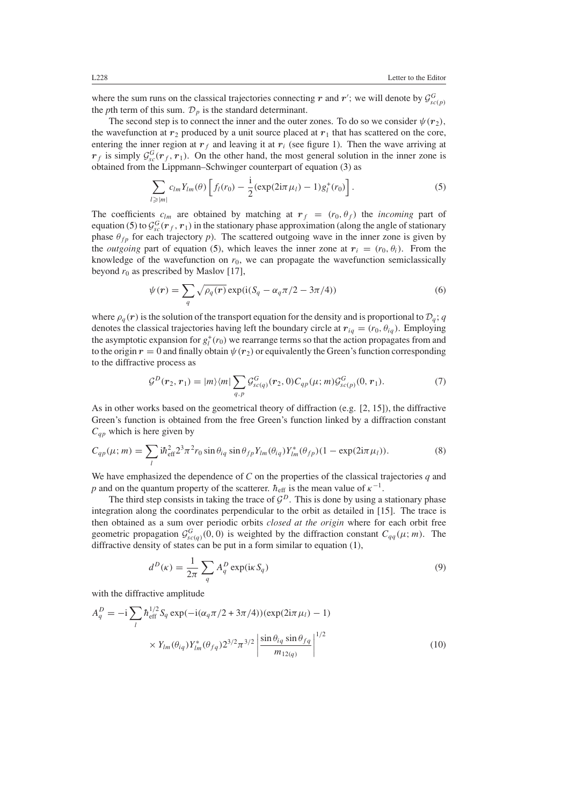where the sum runs on the classical trajectories connecting *r* and *r'*; we will denote by  $\mathcal{G}^G_{sc(p)}$ the *p*th term of this sum.  $\mathcal{D}_p$  is the standard determinant.

The second step is to connect the inner and the outer zones. To do so we consider  $\psi(r_2)$ , the wavefunction at  $r_2$  produced by a unit source placed at  $r_1$  that has scattered on the core, entering the inner region at  $r_f$  and leaving it at  $r_i$  (see figure 1). Then the wave arriving at  $r_f$  is simply  $\mathcal{G}^G_{sc}(r_f, r_1)$ . On the other hand, the most general solution in the inner zone is obtained from the Lippmann–Schwinger counterpart of equation [\(3\)](#page-2-0) as

$$
\sum_{l \ge |m|} c_{lm} Y_{lm}(\theta) \left[ f_l(r_0) - \frac{i}{2} (\exp(2i\pi \mu_l) - 1) g_l^+(r_0) \right]. \tag{5}
$$

<span id="page-3-0"></span>The coefficients  $c_{lm}$  are obtained by matching at  $r_f = (r_0, \theta_f)$  the *incoming* part of equation [\(5\)](#page-3-0) to  $\mathcal{G}^G_{sc}(r_f, r_1)$  in the stationary phase approximation (along the angle of stationary phase  $\theta_{fp}$  for each trajectory *p*). The scattered outgoing wave in the inner zone is given by the *outgoing* part of equation [\(5\)](#page-3-0), which leaves the inner zone at  $r_i = (r_0, \theta_i)$ . From the knowledge of the wavefunction on  $r_0$ , we can propagate the wavefunction semiclassically beyond  $r_0$  as prescribed by Maslov [17],

$$
\psi(r) = \sum_{q} \sqrt{\rho_q(r)} \exp(i(S_q - \alpha_q \pi/2 - 3\pi/4))
$$
\n(6)

where  $\rho_q(r)$  is the solution of the transport equation for the density and is proportional to  $\mathcal{D}_q$ ; *q* denotes the classical trajectories having left the boundary circle at  $r_{iq} = (r_0, \theta_{iq})$ . Employing the asymptotic expansion for  $g_l^+(r_0)$  we rearrange terms so that the action propagates from and to the origin  $r = 0$  and finally obtain  $\psi(r_2)$  or equivalently the Green's function corresponding to the diffractive process as

$$
\mathcal{G}^{D}(\boldsymbol{r}_{2},\boldsymbol{r}_{1}) = |m\rangle\langle m| \sum_{q,p} \mathcal{G}^{G}_{sc(q)}(\boldsymbol{r}_{2},0) C_{qp}(\mu;m) \mathcal{G}^{G}_{sc(p)}(0,\boldsymbol{r}_{1}). \tag{7}
$$

As in other works based on the geometrical theory of diffraction (e.g. [2, 15]), the diffractive Green's function is obtained from the free Green's function linked by a diffraction constant *Cqp* which is here given by

$$
C_{qp}(\mu; m) = \sum_{l} i\hbar_{\text{eff}}^2 2^3 \pi^2 r_0 \sin \theta_{iq} \sin \theta_{fp} Y_{lm}(\theta_{iq}) Y_{lm}^*(\theta_{fp}) (1 - \exp(2i\pi \mu_l)). \tag{8}
$$

We have emphasized the dependence of *C* on the properties of the classical trajectories *q* and *p* and on the quantum property of the scatterer.  $\hbar_{\text{eff}}$  is the mean value of  $\kappa^{-1}$ .

The third step consists in taking the trace of  $G<sup>D</sup>$ . This is done by using a stationary phase integration along the coordinates perpendicular to the orbit as detailed in [15]. The trace is then obtained as a sum over periodic orbits *closed at the origin* where for each orbit free geometric propagation  $\mathcal{G}^G_{sc(q)}(0,0)$  is weighted by the diffraction constant  $C_{qq}(\mu; m)$ . The diffractive density of states can be put in a form similar to equation [\(1\)](#page-1-0),

$$
d^{D}(\kappa) = \frac{1}{2\pi} \sum_{q} A_{q}^{D} \exp(i\kappa S_{q})
$$
\n(9)

with the diffractive amplitude

<span id="page-3-1"></span>
$$
A_q^D = -i \sum_l \hbar_{\text{eff}}^{1/2} S_q \exp(-i(\alpha_q \pi/2 + 3\pi/4)) (\exp(2i\pi \mu_l) - 1)
$$
  
 
$$
\times Y_{lm}(\theta_{iq}) Y_{lm}^* (\theta_{fq}) 2^{3/2} \pi^{3/2} \left| \frac{\sin \theta_{iq} \sin \theta_{fq}}{m_{12(q)}} \right|^{1/2}
$$
(10)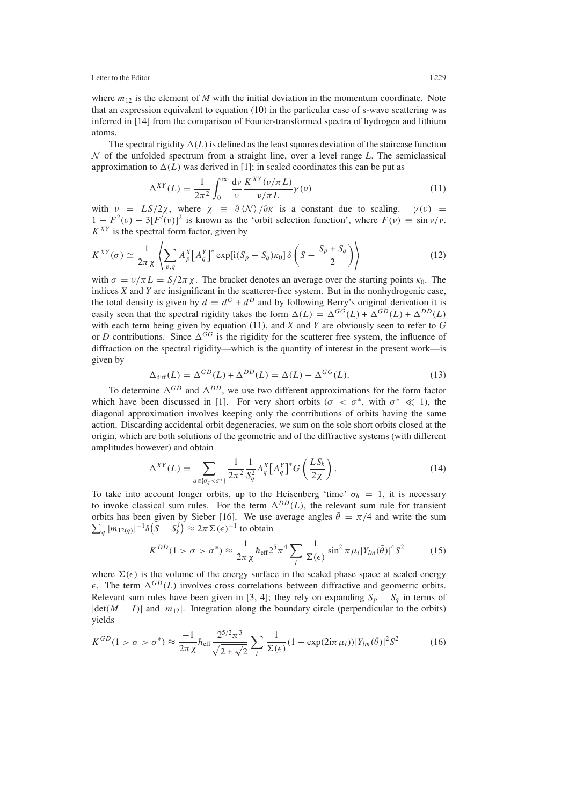where  $m_{12}$  is the element of *M* with the initial deviation in the momentum coordinate. Note that an expression equivalent to equation [\(10\)](#page-3-1) in the particular case of s-wave scattering was inferred in [14] from the comparison of Fourier-transformed spectra of hydrogen and lithium atoms.

<span id="page-4-0"></span>The spectral rigidity  $\Delta(L)$  is defined as the least squares deviation of the staircase function N of the unfolded spectrum from a straight line, over a level range *L*. The semiclassical approximation to  $\Delta(L)$  was derived in [1]; in scaled coordinates this can be put as

$$
\Delta^{XY}(L) = \frac{1}{2\pi^2} \int_0^\infty \frac{d\nu}{\nu} \frac{K^{XY}(\nu/\pi L)}{\nu/\pi L} \gamma(\nu)
$$
(11)

with  $\nu = LS/2\chi$ , where  $\chi = \frac{\partial \langle \mathcal{N} \rangle}{\partial \kappa}$  is a constant due to scaling.  $\gamma(\nu) =$  $1 - F^2(v) - 3[F'(v)]^2$  is known as the 'orbit selection function', where  $F(v) \equiv \sin v/v$ .  $K^{XY}$  is the spectral form factor, given by

$$
K^{XY}(\sigma) \simeq \frac{1}{2\pi\,\chi} \left\langle \sum_{p,q} A_p^X \big[ A_q^Y \big]^* \exp[i(S_p - S_q)\kappa_0] \,\delta\left(S - \frac{S_p + S_q}{2}\right) \right\rangle \tag{12}
$$

with  $\sigma = v/\pi L = S/2\pi \chi$ . The bracket denotes an average over the starting points  $\kappa_0$ . The indices *X* and *Y* are insignificant in the scatterer-free system. But in the nonhydrogenic case, the total density is given by  $d = d^G + d^D$  and by following Berry's original derivation it is easily seen that the spectral rigidity takes the form  $\Delta(L) = \Delta^{GG}(L) + \Delta^{GD}(L) + \Delta^{DD}(L)$ with each term being given by equation [\(11\)](#page-4-0), and *X* and *Y* are obviously seen to refer to *G* or *D* contributions. Since  $\Delta^{GG}$  is the rigidity for the scatterer free system, the influence of diffraction on the spectral rigidity—which is the quantity of interest in the present work—is given by

$$
\Delta_{\text{diff}}(L) = \Delta^{GD}(L) + \Delta^{DD}(L) = \Delta(L) - \Delta^{GG}(L). \tag{13}
$$

<span id="page-4-1"></span>To determine  $\Delta^{GD}$  and  $\Delta^{DD}$ , we use two different approximations for the form factor which have been discussed in [1]. For very short orbits ( $\sigma < \sigma^*$ , with  $\sigma^* \ll 1$ ), the diagonal approximation involves keeping only the contributions of orbits having the same action. Discarding accidental orbit degeneracies, we sum on the sole short orbits closed at the origin, which are both solutions of the geometric and of the diffractive systems (with different amplitudes however) and obtain

$$
\Delta^{XY}(L) = \sum_{q \in \{\sigma_q < \sigma^*\}} \frac{1}{2\pi^2} \frac{1}{S_q^2} A_q^X \left[ A_q^Y \right]^* G \left( \frac{L S_k}{2\chi} \right). \tag{14}
$$

<span id="page-4-2"></span>To take into account longer orbits, up to the Heisenberg 'time'  $\sigma_h = 1$ , it is necessary to invoke classical sum rules. For the term  $\Delta^{DD}(L)$ , the relevant sum rule for transient orbits has been given by Sieber [16]. We use average angles  $\bar{\theta} = \pi/4$  and write the sum  $\sum_{q} |m_{12(q)}|^{-1} \delta(\overline{S} - S_k^j) \approx 2\pi \Sigma(\epsilon)^{-1}$  to obtain

$$
K^{DD}(1 > \sigma > \sigma^*) \approx \frac{1}{2\pi\,\chi} \hbar_{\text{eff}} 2^5 \pi^4 \sum_{l} \frac{1}{\Sigma(\epsilon)} \sin^2 \pi \mu_l |Y_{lm}(\bar{\theta})|^4 S^2 \tag{15}
$$

<span id="page-4-3"></span>where  $\Sigma(\epsilon)$  is the volume of the energy surface in the scaled phase space at scaled energy  $\epsilon$ . The term  $\Delta^{GD}(L)$  involves cross correlations between diffractive and geometric orbits. Relevant sum rules have been given in [3, 4]; they rely on expanding  $S_p - S_q$  in terms of  $|\det(M - I)|$  and  $|m_{12}|$ . Integration along the boundary circle (perpendicular to the orbits) yields

<span id="page-4-4"></span>
$$
K^{GD}(1 > \sigma > \sigma^*) \approx \frac{-1}{2\pi \chi} \hbar_{\text{eff}} \frac{2^{5/2} \pi^3}{\sqrt{2 + \sqrt{2}}} \sum_{l} \frac{1}{\Sigma(\epsilon)} (1 - \exp(2i\pi \mu_l)) |Y_{lm}(\bar{\theta})|^2 S^2 \tag{16}
$$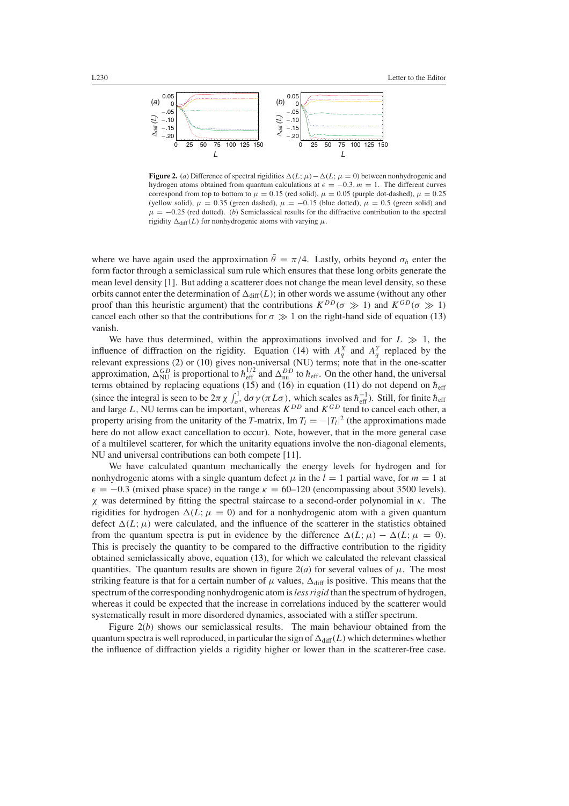

**Figure 2.** (*a*) Difference of spectral rigidities  $\Delta(L;\mu) - \Delta(L;\mu = 0)$  between nonhydrogenic and hydrogen atoms obtained from quantum calculations at  $\epsilon = -0.3$ *, m* = 1. The different curves correspond from top to bottom to  $\mu = 0.15$  (red solid),  $\mu = 0.05$  (purple dot-dashed),  $\mu = 0.25$ (yellow solid),  $\mu = 0.35$  (green dashed),  $\mu = -0.15$  (blue dotted),  $\mu = 0.5$  (green solid) and  $\mu = -0.25$  (red dotted). (*b*) Semiclassical results for the diffractive contribution to the spectral rigidity  $\Delta_{\text{diff}}(L)$  for nonhydrogenic atoms with varying  $\mu$ .

where we have again used the approximation  $\bar{\theta} = \pi/4$ . Lastly, orbits beyond  $\sigma_h$  enter the form factor through a semiclassical sum rule which ensures that these long orbits generate the mean level density [1]. But adding a scatterer does not change the mean level density, so these orbits cannot enter the determination of  $\Delta_{\text{diff}}(L)$ ; in other words we assume (without any other proof than this heuristic argument) that the contributions  $K^{DD}(\sigma \gg 1)$  and  $K^{GD}(\sigma \gg 1)$ cancel each other so that the contributions for  $\sigma \gg 1$  on the right-hand side of equation [\(13\)](#page-4-1) vanish.

We have thus determined, within the approximations involved and for  $L \gg 1$ , the influence of diffraction on the rigidity. Equation [\(14\)](#page-4-2) with  $A_q^X$  and  $A_q^Y$  replaced by the relevant expressions [\(2\)](#page-2-1) or [\(10\)](#page-3-1) gives non-universal (NU) terms; note that in the one-scatter approximation,  $\Delta_{\text{NU}}^{GD}$  is proportional to  $\hbar_{\text{eff}}^{1/2}$  and  $\Delta_{\text{nu}}^{DD}$  to  $\hbar_{\text{eff}}$ . On the other hand, the universal terms obtained by replacing equations [\(15\)](#page-4-3) and [\(16\)](#page-4-4) in equation [\(11\)](#page-4-0) do not depend on  $h_{\text{eff}}$ (since the integral is seen to be  $2\pi \chi \int_{\sigma^*}^1 d\sigma \gamma (\pi L \sigma)$ , which scales as  $\hbar_{\text{eff}}^{-1}$ ). Still, for finite  $\hbar_{\text{eff}}$ and large *L,* NU terms can be important, whereas *KDD* and *KGD* tend to cancel each other, a property arising from the unitarity of the *T*-matrix, Im  $T_l = -|T_l|^2$  (the approximations made here do not allow exact cancellation to occur). Note, however, that in the more general case of a multilevel scatterer, for which the unitarity equations involve the non-diagonal elements, NU and universal contributions can both compete [11].

We have calculated quantum mechanically the energy levels for hydrogen and for nonhydrogenic atoms with a single quantum defect  $\mu$  in the  $l = 1$  partial wave, for  $m = 1$  at  $\epsilon = -0.3$  (mixed phase space) in the range  $\kappa = 60$ –120 (encompassing about 3500 levels). *χ* was determined by fitting the spectral staircase to a second-order polynomial in *κ*. The rigidities for hydrogen  $\Delta(L;\mu=0)$  and for a nonhydrogenic atom with a given quantum defect  $\Delta(L;\mu)$  were calculated, and the influence of the scatterer in the statistics obtained from the quantum spectra is put in evidence by the difference  $\Delta(L;\mu) - \Delta(L;\mu = 0)$ . This is precisely the quantity to be compared to the diffractive contribution to the rigidity obtained semiclassically above, equation [\(13\)](#page-4-1), for which we calculated the relevant classical quantities. The quantum results are shown in figure  $2(a)$  for several values of  $\mu$ . The most striking feature is that for a certain number of  $\mu$  values,  $\Delta_{\text{diff}}$  is positive. This means that the spectrum of the corresponding nonhydrogenic atom is*less rigid* than the spectrum of hydrogen, whereas it could be expected that the increase in correlations induced by the scatterer would systematically result in more disordered dynamics, associated with a stiffer spectrum.

Figure 2(*b*) shows our semiclassical results. The main behaviour obtained from the quantum spectra is well reproduced, in particular the sign of  $\Delta_{diff}(L)$  which determines whether the influence of diffraction yields a rigidity higher or lower than in the scatterer-free case.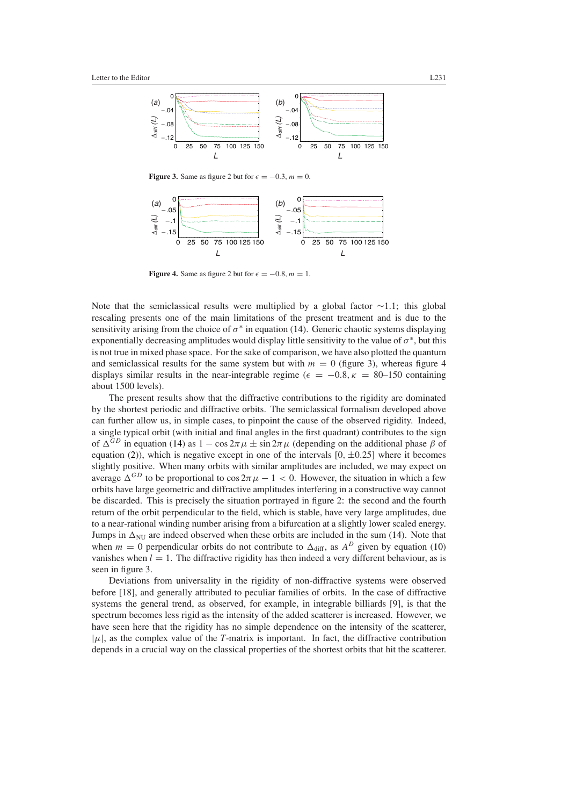

**Figure 3.** Same as figure 2 but for  $\epsilon = -0.3$ ,  $m = 0$ .



**Figure 4.** Same as figure 2 but for  $\epsilon = -0.8$ *, m* = 1.

Note that the semiclassical results were multiplied by a global factor ∼1.1; this global rescaling presents one of the main limitations of the present treatment and is due to the sensitivity arising from the choice of  $\sigma^*$  in equation [\(14\)](#page-4-2). Generic chaotic systems displaying exponentially decreasing amplitudes would display little sensitivity to the value of  $\sigma^*$ , but this is not true in mixed phase space. For the sake of comparison, we have also plotted the quantum and semiclassical results for the same system but with  $m = 0$  (figure 3), whereas figure 4 displays similar results in the near-integrable regime ( $\epsilon = -0.8$ ,  $\kappa = 80$ –150 containing about 1500 levels).

The present results show that the diffractive contributions to the rigidity are dominated by the shortest periodic and diffractive orbits. The semiclassical formalism developed above can further allow us, in simple cases, to pinpoint the cause of the observed rigidity. Indeed, a single typical orbit (with initial and final angles in the first quadrant) contributes to the sign of  $\Delta^{GD}$  in equation [\(14\)](#page-4-2) as  $1 - \cos 2\pi \mu \pm \sin 2\pi \mu$  (depending on the additional phase  $\beta$  of equation [\(2\)](#page-2-1)), which is negative except in one of the intervals  $[0, \pm 0.25]$  where it becomes slightly positive. When many orbits with similar amplitudes are included, we may expect on average  $\Delta^{GD}$  to be proportional to  $\cos 2\pi \mu - 1 < 0$ . However, the situation in which a few orbits have large geometric and diffractive amplitudes interfering in a constructive way cannot be discarded. This is precisely the situation portrayed in figure 2: the second and the fourth return of the orbit perpendicular to the field, which is stable, have very large amplitudes, due to a near-rational winding number arising from a bifurcation at a slightly lower scaled energy. Jumps in  $\Delta_{\text{NU}}$  are indeed observed when these orbits are included in the sum [\(14\)](#page-4-2). Note that when  $m = 0$  perpendicular orbits do not contribute to  $\Delta_{diff}$ , as  $A^D$  given by equation [\(10\)](#page-3-1) vanishes when  $l = 1$ . The diffractive rigidity has then indeed a very different behaviour, as is seen in figure 3.

Deviations from universality in the rigidity of non-diffractive systems were observed before [18], and generally attributed to peculiar families of orbits. In the case of diffractive systems the general trend, as observed, for example, in integrable billiards [9], is that the spectrum becomes less rigid as the intensity of the added scatterer is increased. However, we have seen here that the rigidity has no simple dependence on the intensity of the scatterer,  $|\mu|$ , as the complex value of the *T*-matrix is important. In fact, the diffractive contribution depends in a crucial way on the classical properties of the shortest orbits that hit the scatterer.